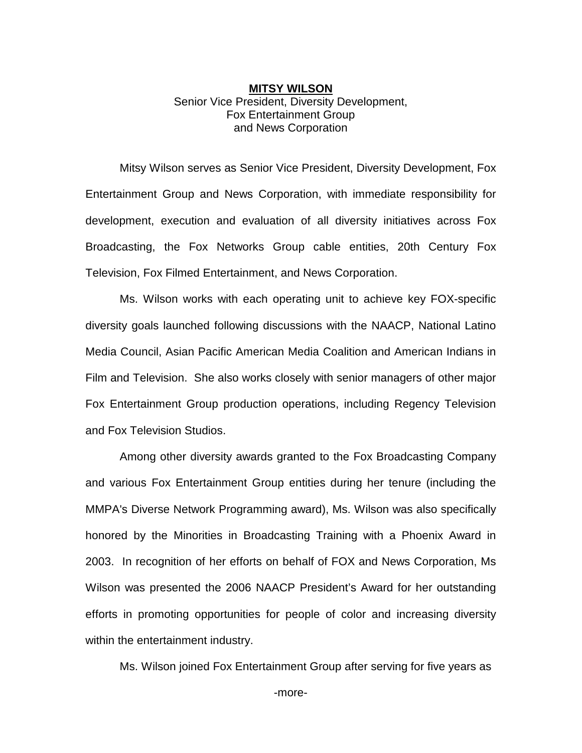## **MITSY WILSON** Senior Vice President, Diversity Development, Fox Entertainment Group and News Corporation

Mitsy Wilson serves as Senior Vice President, Diversity Development, Fox Entertainment Group and News Corporation, with immediate responsibility for development, execution and evaluation of all diversity initiatives across Fox Broadcasting, the Fox Networks Group cable entities, 20th Century Fox Television, Fox Filmed Entertainment, and News Corporation.

Ms. Wilson works with each operating unit to achieve key FOX-specific diversity goals launched following discussions with the NAACP, National Latino Media Council, Asian Pacific American Media Coalition and American Indians in Film and Television. She also works closely with senior managers of other major Fox Entertainment Group production operations, including Regency Television and Fox Television Studios.

Among other diversity awards granted to the Fox Broadcasting Company and various Fox Entertainment Group entities during her tenure (including the MMPA's Diverse Network Programming award), Ms. Wilson was also specifically honored by the Minorities in Broadcasting Training with a Phoenix Award in 2003. In recognition of her efforts on behalf of FOX and News Corporation, Ms Wilson was presented the 2006 NAACP President's Award for her outstanding efforts in promoting opportunities for people of color and increasing diversity within the entertainment industry.

Ms. Wilson joined Fox Entertainment Group after serving for five years as

-more-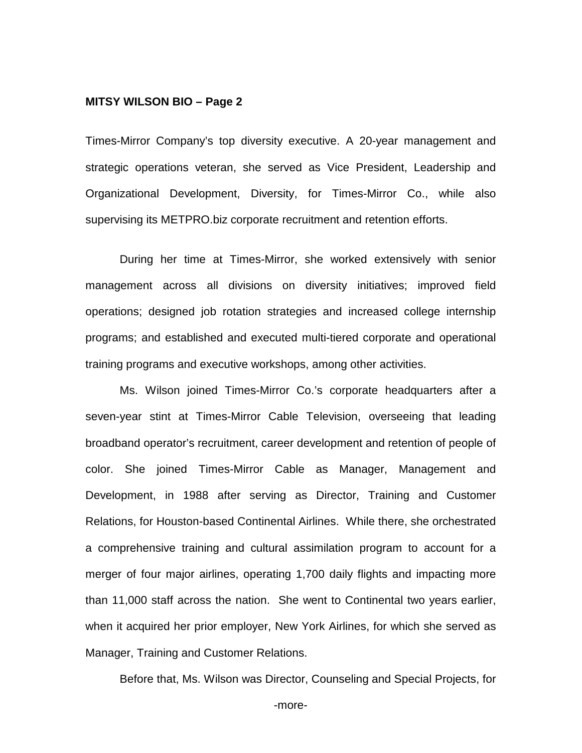## **MITSY WILSON BIO – Page 2**

Times-Mirror Company's top diversity executive. A 20-year management and strategic operations veteran, she served as Vice President, Leadership and Organizational Development, Diversity, for Times-Mirror Co., while also supervising its METPRO.biz corporate recruitment and retention efforts.

During her time at Times-Mirror, she worked extensively with senior management across all divisions on diversity initiatives; improved field operations; designed job rotation strategies and increased college internship programs; and established and executed multi-tiered corporate and operational training programs and executive workshops, among other activities.

Ms. Wilson joined Times-Mirror Co.'s corporate headquarters after a seven-year stint at Times-Mirror Cable Television, overseeing that leading broadband operator's recruitment, career development and retention of people of color. She joined Times-Mirror Cable as Manager, Management and Development, in 1988 after serving as Director, Training and Customer Relations, for Houston-based Continental Airlines. While there, she orchestrated a comprehensive training and cultural assimilation program to account for a merger of four major airlines, operating 1,700 daily flights and impacting more than 11,000 staff across the nation. She went to Continental two years earlier, when it acquired her prior employer, New York Airlines, for which she served as Manager, Training and Customer Relations.

Before that, Ms. Wilson was Director, Counseling and Special Projects, for

-more-